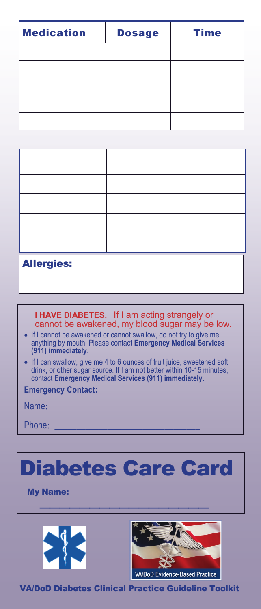| <b>Medication</b> | <b>Dosage</b> | <b>Time</b> |
|-------------------|---------------|-------------|
|                   |               |             |
|                   |               |             |
|                   |               |             |
|                   |               |             |
|                   |               |             |

| <b>Allergies:</b> |  |  |
|-------------------|--|--|

## **I HAVE DIABETES.** If I am acting strangely or cannot be awakened, my blood sugar may be low**.**

- If I cannot be awakened or cannot swallow, do not try to give me anything by mouth. Please contact **Emergency Medical Services (911) immediately**.
- If I can swallow, give me 4 to 6 ounces of fruit juice, sweetened soft drink, or other sugar source. If I am not better within 10-15 minutes, contact **Emergency Medical Services (911) immediately.**

**Emergency Contact:**

| Name: |  |  |
|-------|--|--|
|       |  |  |

Phone:



VA/DoD Diabetes Clinical Practice Guideline Toolkit